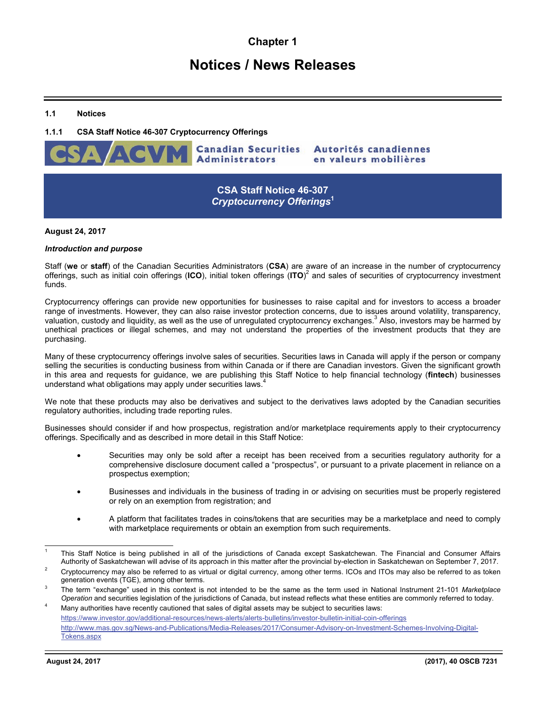# **Chapter 1**

# **Notices / News Releases**

### **1.1 Notices**

## **1.1.1 CSA Staff Notice 46-307 Cryptocurrency Offerings**



**CSA Staff Notice 46-307**  *Cryptocurrency Offerings***<sup>1</sup>**

#### **August 24, 2017**

#### *Introduction and purpose*

Staff (**we** or **staff**) of the Canadian Securities Administrators (**CSA**) are aware of an increase in the number of cryptocurrency offerings, such as initial coin offerings (**ICO**), initial token offerings (**ITO**) 2 and sales of securities of cryptocurrency investment funds.

Cryptocurrency offerings can provide new opportunities for businesses to raise capital and for investors to access a broader range of investments. However, they can also raise investor protection concerns, due to issues around volatility, transparency, valuation, custody and liquidity, as well as the use of unregulated cryptocurrency exchanges.<sup>3</sup> Also, investors may be harmed by unethical practices or illegal schemes, and may not understand the properties of the investment products that they are purchasing.

Many of these cryptocurrency offerings involve sales of securities. Securities laws in Canada will apply if the person or company selling the securities is conducting business from within Canada or if there are Canadian investors. Given the significant growth in this area and requests for guidance, we are publishing this Staff Notice to help financial technology (**fintech**) businesses understand what obligations may apply under securities laws.<sup>4</sup>

We note that these products may also be derivatives and subject to the derivatives laws adopted by the Canadian securities regulatory authorities, including trade reporting rules.

Businesses should consider if and how prospectus, registration and/or marketplace requirements apply to their cryptocurrency offerings. Specifically and as described in more detail in this Staff Notice:

- Securities may only be sold after a receipt has been received from a securities regulatory authority for a comprehensive disclosure document called a "prospectus", or pursuant to a private placement in reliance on a prospectus exemption;
- Businesses and individuals in the business of trading in or advising on securities must be properly registered or rely on an exemption from registration; and
- A platform that facilitates trades in coins/tokens that are securities may be a marketplace and need to comply with marketplace requirements or obtain an exemption from such requirements.

l

<sup>1</sup> This Staff Notice is being published in all of the jurisdictions of Canada except Saskatchewan. The Financial and Consumer Affairs Authority of Saskatchewan will advise of its approach in this matter after the provincial by-election in Saskatchewan on September 7, 2017. 2

Cryptocurrency may also be referred to as virtual or digital currency, among other terms. ICOs and ITOs may also be referred to as token generation events (TGE), among other terms. 3

The term "exchange" used in this context is not intended to be the same as the term used in National Instrument 21-101 *Marketplace Operation* and securities legislation of the jurisdictions of Canada, but instead reflects what these entities are commonly referred to today. 4 Many authorities have recently cautioned that sales of digital assets may be subject to securities laws:

https://www.investor.gov/additional-resources/news-alerts/alerts-bulletins/investor-bulletin-initial-coin-offerings http://www.mas.gov.sg/News-and-Publications/Media-Releases/2017/Consumer-Advisory-on-Investment-Schemes-Involving-Digital-Tokens.aspx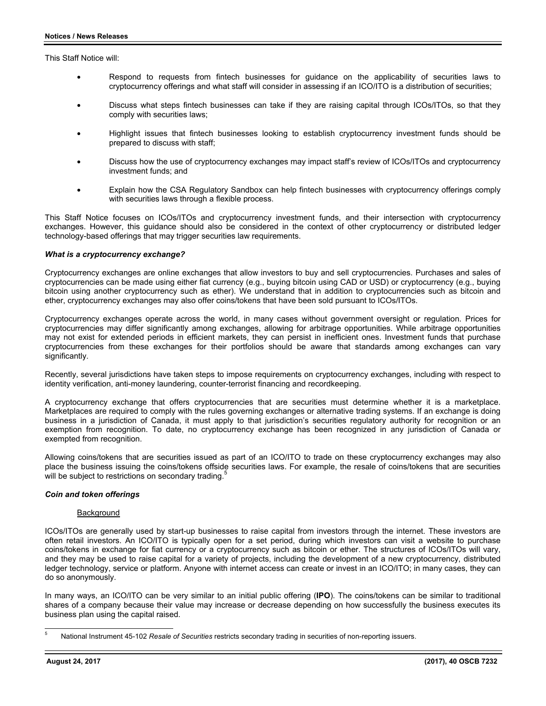This Staff Notice will:

- Respond to requests from fintech businesses for guidance on the applicability of securities laws to cryptocurrency offerings and what staff will consider in assessing if an ICO/ITO is a distribution of securities;
- Discuss what steps fintech businesses can take if they are raising capital through ICOs/ITOs, so that they comply with securities laws;
- Highlight issues that fintech businesses looking to establish cryptocurrency investment funds should be prepared to discuss with staff;
- Discuss how the use of cryptocurrency exchanges may impact staff's review of ICOs/ITOs and cryptocurrency investment funds; and
- Explain how the CSA Regulatory Sandbox can help fintech businesses with cryptocurrency offerings comply with securities laws through a flexible process.

This Staff Notice focuses on ICOs/ITOs and cryptocurrency investment funds, and their intersection with cryptocurrency exchanges. However, this guidance should also be considered in the context of other cryptocurrency or distributed ledger technology-based offerings that may trigger securities law requirements.

#### *What is a cryptocurrency exchange?*

Cryptocurrency exchanges are online exchanges that allow investors to buy and sell cryptocurrencies. Purchases and sales of cryptocurrencies can be made using either fiat currency (e.g., buying bitcoin using CAD or USD) or cryptocurrency (e.g., buying bitcoin using another cryptocurrency such as ether). We understand that in addition to cryptocurrencies such as bitcoin and ether, cryptocurrency exchanges may also offer coins/tokens that have been sold pursuant to ICOs/ITOs.

Cryptocurrency exchanges operate across the world, in many cases without government oversight or regulation. Prices for cryptocurrencies may differ significantly among exchanges, allowing for arbitrage opportunities. While arbitrage opportunities may not exist for extended periods in efficient markets, they can persist in inefficient ones. Investment funds that purchase cryptocurrencies from these exchanges for their portfolios should be aware that standards among exchanges can vary significantly.

Recently, several jurisdictions have taken steps to impose requirements on cryptocurrency exchanges, including with respect to identity verification, anti-money laundering, counter-terrorist financing and recordkeeping.

A cryptocurrency exchange that offers cryptocurrencies that are securities must determine whether it is a marketplace. Marketplaces are required to comply with the rules governing exchanges or alternative trading systems. If an exchange is doing business in a jurisdiction of Canada, it must apply to that jurisdiction's securities regulatory authority for recognition or an exemption from recognition. To date, no cryptocurrency exchange has been recognized in any jurisdiction of Canada or exempted from recognition.

Allowing coins/tokens that are securities issued as part of an ICO/ITO to trade on these cryptocurrency exchanges may also place the business issuing the coins/tokens offside securities laws. For example, the resale of coins/tokens that are securities will be subject to restrictions on secondary trading.

#### *Coin and token offerings*

#### Background

ICOs/ITOs are generally used by start-up businesses to raise capital from investors through the internet. These investors are often retail investors. An ICO/ITO is typically open for a set period, during which investors can visit a website to purchase coins/tokens in exchange for fiat currency or a cryptocurrency such as bitcoin or ether. The structures of ICOs/ITOs will vary, and they may be used to raise capital for a variety of projects, including the development of a new cryptocurrency, distributed ledger technology, service or platform. Anyone with internet access can create or invest in an ICO/ITO; in many cases, they can do so anonymously.

In many ways, an ICO/ITO can be very similar to an initial public offering (**IPO**). The coins/tokens can be similar to traditional shares of a company because their value may increase or decrease depending on how successfully the business executes its business plan using the capital raised.

l

<sup>5</sup> National Instrument 45-102 *Resale of Securities* restricts secondary trading in securities of non-reporting issuers.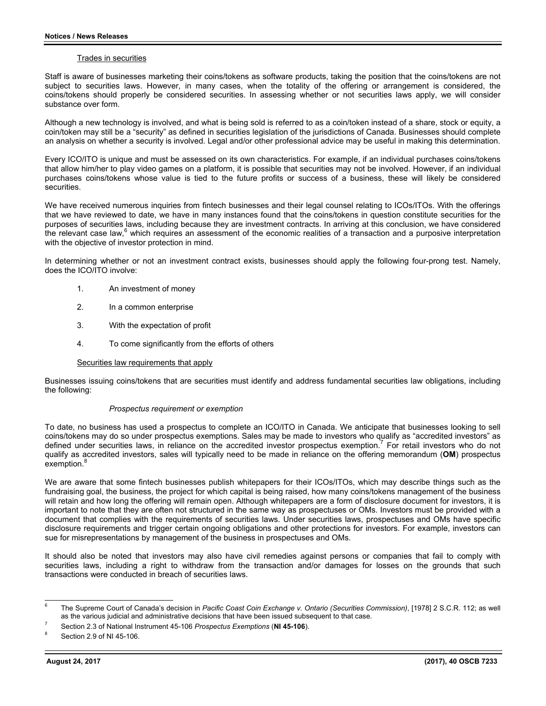#### Trades in securities

Staff is aware of businesses marketing their coins/tokens as software products, taking the position that the coins/tokens are not subject to securities laws. However, in many cases, when the totality of the offering or arrangement is considered, the coins/tokens should properly be considered securities. In assessing whether or not securities laws apply, we will consider substance over form.

Although a new technology is involved, and what is being sold is referred to as a coin/token instead of a share, stock or equity, a coin/token may still be a "security" as defined in securities legislation of the jurisdictions of Canada. Businesses should complete an analysis on whether a security is involved. Legal and/or other professional advice may be useful in making this determination.

Every ICO/ITO is unique and must be assessed on its own characteristics. For example, if an individual purchases coins/tokens that allow him/her to play video games on a platform, it is possible that securities may not be involved. However, if an individual purchases coins/tokens whose value is tied to the future profits or success of a business, these will likely be considered securities.

We have received numerous inquiries from fintech businesses and their legal counsel relating to ICOs/ITOs. With the offerings that we have reviewed to date, we have in many instances found that the coins/tokens in question constitute securities for the purposes of securities laws, including because they are investment contracts. In arriving at this conclusion, we have considered the relevant case law,<sup>6</sup> which requires an assessment of the economic realities of a transaction and a purposive interpretation with the objective of investor protection in mind.

In determining whether or not an investment contract exists, businesses should apply the following four-prong test. Namely, does the ICO/ITO involve:

- 1. An investment of money
- 2. In a common enterprise
- 3. With the expectation of profit
- 4. To come significantly from the efforts of others

#### Securities law requirements that apply

Businesses issuing coins/tokens that are securities must identify and address fundamental securities law obligations, including the following:

#### *Prospectus requirement or exemption*

To date, no business has used a prospectus to complete an ICO/ITO in Canada. We anticipate that businesses looking to sell coins/tokens may do so under prospectus exemptions. Sales may be made to investors who qualify as "accredited investors" as defined under securities laws, in reliance on the accredited investor prospectus exemption.<sup>7</sup> For retail investors who do not qualify as accredited investors, sales will typically need to be made in reliance on the offering memorandum (**OM**) prospectus exemption.<sup>8</sup>

We are aware that some fintech businesses publish whitepapers for their ICOs/ITOs, which may describe things such as the fundraising goal, the business, the project for which capital is being raised, how many coins/tokens management of the business will retain and how long the offering will remain open. Although whitepapers are a form of disclosure document for investors, it is important to note that they are often not structured in the same way as prospectuses or OMs. Investors must be provided with a document that complies with the requirements of securities laws. Under securities laws, prospectuses and OMs have specific disclosure requirements and trigger certain ongoing obligations and other protections for investors. For example, investors can sue for misrepresentations by management of the business in prospectuses and OMs.

It should also be noted that investors may also have civil remedies against persons or companies that fail to comply with securities laws, including a right to withdraw from the transaction and/or damages for losses on the grounds that such transactions were conducted in breach of securities laws.

l

<sup>6</sup> The Supreme Court of Canada's decision in *Pacific Coast Coin Exchange v. Ontario (Securities Commission)*, [1978] 2 S.C.R. 112; as well as the various judicial and administrative decisions that have been issued subsequent to that case. 7

Section 2.3 of National Instrument 45-106 *Prospectus Exemptions* (**NI 45-106**). 8

Section 2.9 of NI 45-106.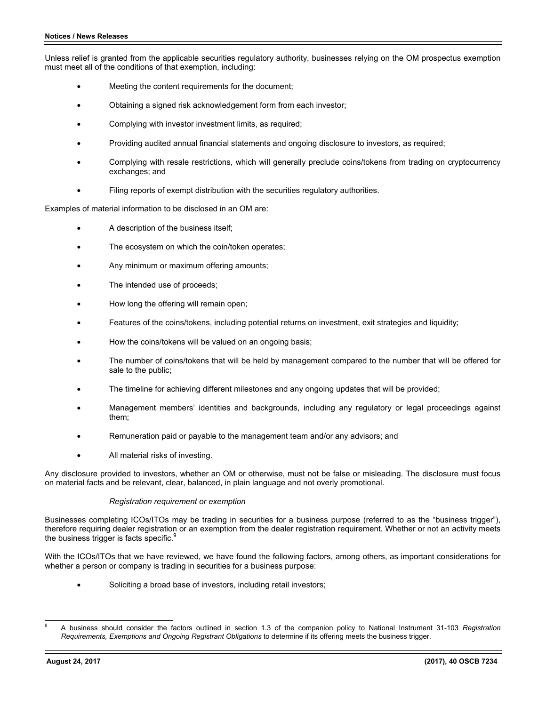Unless relief is granted from the applicable securities regulatory authority, businesses relying on the OM prospectus exemption must meet all of the conditions of that exemption, including:

- Meeting the content requirements for the document;
- Obtaining a signed risk acknowledgement form from each investor;
- Complying with investor investment limits, as required;
- Providing audited annual financial statements and ongoing disclosure to investors, as required;
- Complying with resale restrictions, which will generally preclude coins/tokens from trading on cryptocurrency exchanges; and
- Filing reports of exempt distribution with the securities regulatory authorities.

Examples of material information to be disclosed in an OM are:

- A description of the business itself;
- The ecosystem on which the coin/token operates;
- Any minimum or maximum offering amounts;
- The intended use of proceeds;
- How long the offering will remain open;
- Features of the coins/tokens, including potential returns on investment, exit strategies and liquidity;
- How the coins/tokens will be valued on an ongoing basis;
- The number of coins/tokens that will be held by management compared to the number that will be offered for sale to the public;
- The timeline for achieving different milestones and any ongoing updates that will be provided;
- Management members' identities and backgrounds, including any regulatory or legal proceedings against them;
- Remuneration paid or payable to the management team and/or any advisors; and
- All material risks of investing.

Any disclosure provided to investors, whether an OM or otherwise, must not be false or misleading. The disclosure must focus on material facts and be relevant, clear, balanced, in plain language and not overly promotional.

#### *Registration requirement or exemption*

Businesses completing ICOs/ITOs may be trading in securities for a business purpose (referred to as the "business trigger"), therefore requiring dealer registration or an exemption from the dealer registration requirement. Whether or not an activity meets the business trigger is facts specific.<sup>9</sup>

With the ICOs/ITOs that we have reviewed, we have found the following factors, among others, as important considerations for whether a person or company is trading in securities for a business purpose:

Soliciting a broad base of investors, including retail investors;

l 9 A business should consider the factors outlined in section 1.3 of the companion policy to National Instrument 31-103 *Registration Requirements, Exemptions and Ongoing Registrant Obligations* to determine if its offering meets the business trigger.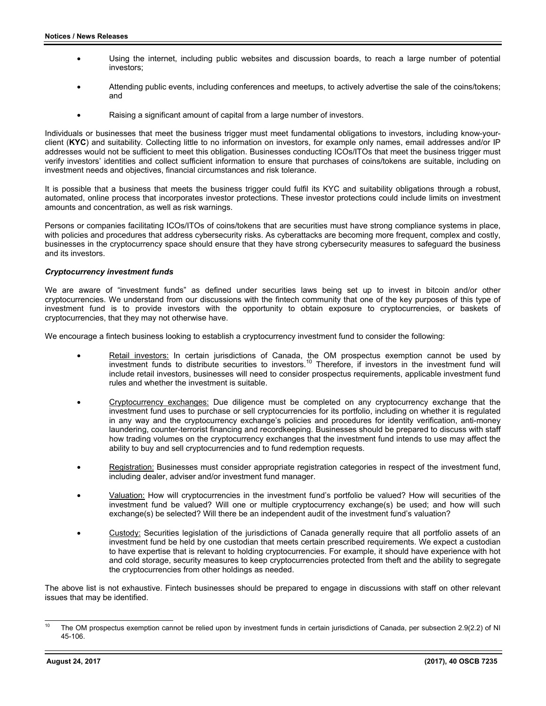- Using the internet, including public websites and discussion boards, to reach a large number of potential investors;
- Attending public events, including conferences and meetups, to actively advertise the sale of the coins/tokens; and
- Raising a significant amount of capital from a large number of investors.

Individuals or businesses that meet the business trigger must meet fundamental obligations to investors, including know-yourclient (**KYC**) and suitability. Collecting little to no information on investors, for example only names, email addresses and/or IP addresses would not be sufficient to meet this obligation. Businesses conducting ICOs/ITOs that meet the business trigger must verify investors' identities and collect sufficient information to ensure that purchases of coins/tokens are suitable, including on investment needs and objectives, financial circumstances and risk tolerance.

It is possible that a business that meets the business trigger could fulfil its KYC and suitability obligations through a robust, automated, online process that incorporates investor protections. These investor protections could include limits on investment amounts and concentration, as well as risk warnings.

Persons or companies facilitating ICOs/ITOs of coins/tokens that are securities must have strong compliance systems in place, with policies and procedures that address cybersecurity risks. As cyberattacks are becoming more frequent, complex and costly, businesses in the cryptocurrency space should ensure that they have strong cybersecurity measures to safeguard the business and its investors.

#### *Cryptocurrency investment funds*

We are aware of "investment funds" as defined under securities laws being set up to invest in bitcoin and/or other cryptocurrencies. We understand from our discussions with the fintech community that one of the key purposes of this type of investment fund is to provide investors with the opportunity to obtain exposure to cryptocurrencies, or baskets of cryptocurrencies, that they may not otherwise have.

We encourage a fintech business looking to establish a cryptocurrency investment fund to consider the following:

- Retail investors: In certain jurisdictions of Canada, the OM prospectus exemption cannot be used by investment funds to distribute securities to investors.10 Therefore, if investors in the investment fund will include retail investors, businesses will need to consider prospectus requirements, applicable investment fund rules and whether the investment is suitable.
- Cryptocurrency exchanges: Due diligence must be completed on any cryptocurrency exchange that the investment fund uses to purchase or sell cryptocurrencies for its portfolio, including on whether it is regulated in any way and the cryptocurrency exchange's policies and procedures for identity verification, anti-money laundering, counter-terrorist financing and recordkeeping. Businesses should be prepared to discuss with staff how trading volumes on the cryptocurrency exchanges that the investment fund intends to use may affect the ability to buy and sell cryptocurrencies and to fund redemption requests.
- Registration: Businesses must consider appropriate registration categories in respect of the investment fund, including dealer, adviser and/or investment fund manager.
- Valuation: How will cryptocurrencies in the investment fund's portfolio be valued? How will securities of the investment fund be valued? Will one or multiple cryptocurrency exchange(s) be used; and how will such exchange(s) be selected? Will there be an independent audit of the investment fund's valuation?
- Custody: Securities legislation of the jurisdictions of Canada generally require that all portfolio assets of an investment fund be held by one custodian that meets certain prescribed requirements. We expect a custodian to have expertise that is relevant to holding cryptocurrencies. For example, it should have experience with hot and cold storage, security measures to keep cryptocurrencies protected from theft and the ability to segregate the cryptocurrencies from other holdings as needed.

The above list is not exhaustive. Fintech businesses should be prepared to engage in discussions with staff on other relevant issues that may be identified.

 $10$ The OM prospectus exemption cannot be relied upon by investment funds in certain jurisdictions of Canada, per subsection 2.9(2.2) of NI 45-106.